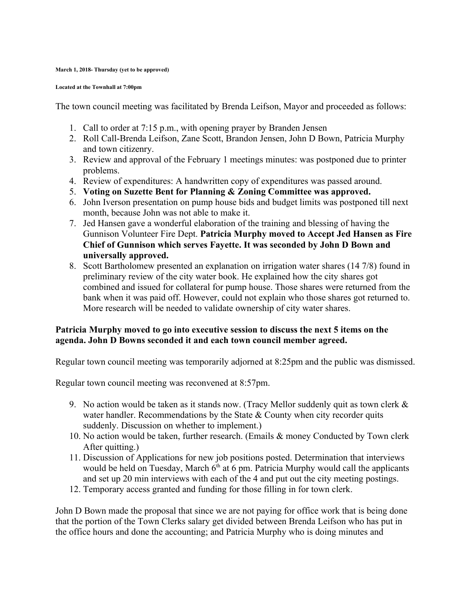## **March 1, 2018- Thursday (yet to be approved)**

## **Located at the Townhall at 7:00pm**

The town council meeting was facilitated by Brenda Leifson, Mayor and proceeded as follows:

- 1. Call to order at 7:15 p.m., with opening prayer by Branden Jensen
- 2. Roll Call-Brenda Leifson, Zane Scott, Brandon Jensen, John D Bown, Patricia Murphy and town citizenry.
- 3. Review and approval of the February 1 meetings minutes: was postponed due to printer problems.
- 4. Review of expenditures: A handwritten copy of expenditures was passed around.
- 5. **Voting on Suzette Bent for Planning & Zoning Committee was approved.**
- 6. John Iverson presentation on pump house bids and budget limits was postponed till next month, because John was not able to make it.
- 7. Jed Hansen gave a wonderful elaboration of the training and blessing of having the Gunnison Volunteer Fire Dept. **Patricia Murphy moved to Accept Jed Hansen as Fire Chief of Gunnison which serves Fayette. It was seconded by John D Bown and universally approved.**
- 8. Scott Bartholomew presented an explanation on irrigation water shares (14 7/8) found in preliminary review of the city water book. He explained how the city shares got combined and issued for collateral for pump house. Those shares were returned from the bank when it was paid off. However, could not explain who those shares got returned to. More research will be needed to validate ownership of city water shares.

## **Patricia Murphy moved to go into executive session to discuss the next 5 items on the agenda. John D Bowns seconded it and each town council member agreed.**

Regular town council meeting was temporarily adjorned at 8:25pm and the public was dismissed.

Regular town council meeting was reconvened at 8:57pm.

- 9. No action would be taken as it stands now. (Tracy Mellor suddenly quit as town clerk  $\&$ water handler. Recommendations by the State  $&$  County when city recorder quits suddenly. Discussion on whether to implement.)
- 10. No action would be taken, further research. (Emails & money Conducted by Town clerk After quitting.)
- 11. Discussion of Applications for new job positions posted. Determination that interviews would be held on Tuesday, March  $6<sup>th</sup>$  at 6 pm. Patricia Murphy would call the applicants and set up 20 min interviews with each of the 4 and put out the city meeting postings.
- 12. Temporary access granted and funding for those filling in for town clerk.

John D Bown made the proposal that since we are not paying for office work that is being done that the portion of the Town Clerks salary get divided between Brenda Leifson who has put in the office hours and done the accounting; and Patricia Murphy who is doing minutes and